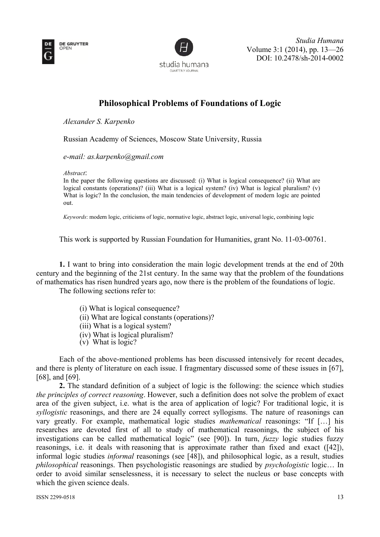



Volume 3 3:1 (2014), pp. 13—26 DOI: 10.2478/sh-2014-0002 *Stud dia Humana*

## **Philosophical Problems of Foundations of Logic**

*Al lexander S. Karpenko* 

Russian Academy of Sciences, Moscow State University, Russia

e-mail: as.karpenko@gmail.com

*Ab bstract*:

In the paper the following questions are discussed: (i) What is logical consequence? (ii) What are logical constants (operations)? (iii) What is a logical system? (iv) What is logical pluralism? (v) What is logic? In the conclusion, the main tendencies of development of modern logic are pointed out.

Keywords: modern logic, criticisms of logic, normative logic, abstract logic, universal logic, combining logic

This work is supported by Russian Foundation for Humanities, grant No. 11-03-00761.

1. I want to bring into consideration the main logic development trends at the end of 20th century and the beginning of the 21st century. In the same way that the problem of the foundations of mathematics has risen hundred years ago, now there is the problem of the foundations of logic.

The following sections refer to:

- (i) What is logical consequence?
- (ii) What are logical constants (operations)?
- (iii) What is a logical system?
- (iv) Wh hat is logical l pluralism?
- $(v)$  What is logic?

(iv) What is logical pluralism?<br>
(v) What is logic?<br>
Each of the above-mentioned problems has been discussed intensively for recent decades, and there is plenty of literature on each issue. I fragmentary discussed some of these issues in [67], [68], and [69].

**2.** The standard definition of a subject of logic is the following: the science which studies the principles of correct reasoning. However, such a definition does not solve the problem of exact area of the given subject, i.e. what is the area of application of logic? For traditional logic, it is syllogistic reasonings, and there are 24 equally correct syllogisms. The nature of reasonings can vary greatly. For example, mathematical logic studies *mathematical* reasonings: "If [...] his researches are devoted first of all to study of mathematical reasonings, the subject of his investigations can be called mathematical logic" (see [90]). In turn, *fuzzy* logic studies fuzzy reasonings, i.e. it deals with reasoning that is approximate rather than fixed and exact ([42]), informal logic studies *informal* reasonings (see [48]), and philosophical logic, as a result, studies *philosophical* reasonings. Then psychologistic reasonings are studied by *psychologistic* logic... In order to avoid similar senselessness, it is necessary to select the nucleus or base concepts with which the given science deals. th sissed and the second site of the second size of the second size  $\frac{3}{2}$  and  $\frac{3}{2}$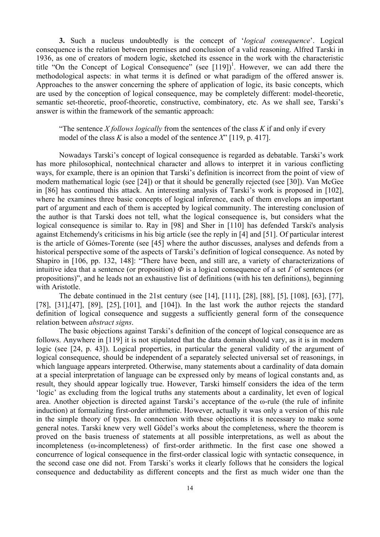**3.** Such a nucleus undoubtedly is the concept of '*logical consequence*'. Logical consequence is the relation between premises and conclusion of a valid reasoning. Alfred Tarski in 1936, as one of creators of modern logic, sketched its essence in the work with the characteristic title "On the Concept of Logical Consequence" (see  $[119]$ <sup>1</sup>. However, we can add there the methodological aspects: in what terms it is defined or what paradigm of the offered answer is. Approaches to the answer concerning the sphere of application of logic, its basic concepts, which are used by the conception of logical consequence, may be completely different: model-theoretic, semantic set-theoretic, proof-theoretic, constructive, combinatory, etc. As we shall see, Tarski's answer is within the framework of the semantic approach:

"The sentence *X follows logically* from the sentences of the class  $K$  if and only if every model of the class *K* is also a model of the sentence *X*" [119, p. 417].

Nowadays Tarski's concept of logical consequence is regarded as debatable. Tarski's work has more philosophical, nontechnical character and allows to interpret it in various conflicting ways, for example, there is an opinion that Tarski's definition is incorrect from the point of view of modern mathematical logic (see [24]) or that it should be generally rejected (see [30]). Van McGee in [86] has continued this attack. An interesting analysis of Tarski's work is proposed in [102], where he examines three basic concepts of logical inference, each of them envelops an important part of argument and each of them is accepted by logical community. The interesting conclusion of the author is that Tarski does not tell, what the logical consequence is, but considers what the logical consequence is similar to. Ray in [98] and Sher in [110] has defended Tarski's analysis against Etchemendy's criticisms in his big article (see the reply in [4] and [51]. Of particular interest is the article of Gómes-Torente (see [45] where the author discusses, analyses and defends from a historical perspective some of the aspects of Tarski's definition of logical consequence. As noted by Shapiro in [106, pp. 132, 148]: "There have been, and still are, a variety of characterizations of intuitive idea that a sentence (or proposition)  $\Phi$  is a logical consequence of a set  $\Gamma$  of sentences (or propositions)", and he leads not an exhaustive list of definitions (with his ten definitions), beginning with Aristotle.

The debate continued in the 21st century (see [14], [111], [28], [88], [5], [108], [63], [77], [78], [31], [47], [89], [25], [101], and [104]). In the last work the author rejects the standard definition of logical consequence and suggests a sufficiently general form of the consequence relation between *abstract signs*.

The basic objections against Tarski's definition of the concept of logical consequence are as follows. Anywhere in [119] it is not stipulated that the data domain should vary, as it is in modern logic (see [24, p. 43]). Logical properties, in particular the general validity of the argument of logical consequence, should be independent of a separately selected universal set of reasonings, in which language appears interpreted. Otherwise, many statements about a cardinality of data domain at a special interpretation of language can be expressed only by means of logical constants and, as result, they should appear logically true. However, Tarski himself considers the idea of the term 'logic' as excluding from the logical truths any statements about a cardinality, let even of logical area. Another objection is directed against Tarski's acceptance of the ω-rule (the rule of infinite induction) at formalizing first-order arithmetic. However, actually it was only a version of this rule in the simple theory of types. In connection with these objections it is necessary to make some general notes. Tarski knew very well Gödel's works about the completeness, where the theorem is proved on the basis trueness of statements at all possible interpretations, as well as about the incompleteness (ω-incompleteness) of first-order arithmetic. In the first case one showed a concurrence of logical consequence in the first-order classical logic with syntactic consequence, in the second case one did not. From Tarski's works it clearly follows that he considers the logical consequence and deductability as different concepts and the first as much wider one than the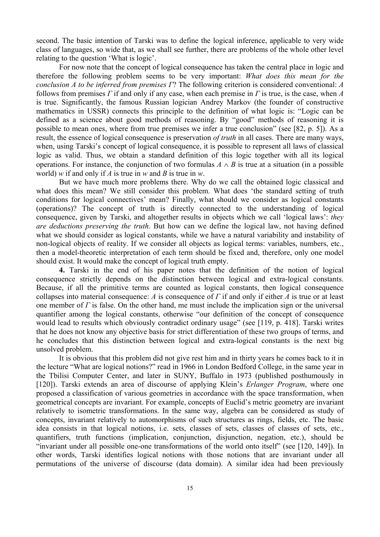second. The basic intention of Tarski was to define the logical inference, applicable to very wide class of languages, so wide that, as we shall see further, there are problems of the whole other level relating to the question 'What is logic'.

For now note that the concept of logical consequence has taken the central place in logic and therefore the following problem seems to be very important: *What does this mean for the conclusion A to be inferred from premises Г*? The following criterion is considered conventional: *A* follows from premises *Г* if and only if any case, when each premise in *Г* is true, is the case, when *A* is true. Significantly, the famous Russian logician Andrey Markov (the founder of constructive mathematics in USSR) connects this principle to the definition of what logic is: "Logic can be defined as a science about good methods of reasoning. By "good" methods of reasoning it is possible to mean ones, where from true premises we infer a true conclusion" (see [82, p. 5]). As a result, the essence of logical consequence is preservation *of truth* in all cases. There are many ways, when, using Tarski's concept of logical consequence, it is possible to represent all laws of classical logic as valid. Thus, we obtain a standard definition of this logic together with all its logical operations. For instance, the conjunction of two formulas  $A \wedge B$  is true at a situation (in a possible world) *w* if and only if *A* is true in *w* and *B* is true in *w*.

But we have much more problems there. Why do we call the obtained logic classical and what does this mean? We still consider this problem. What does 'the standard setting of truth conditions for logical connectives' mean? Finally, what should we consider as logical constants (operations)? The concept of truth is directly connected to the understanding of logical consequence, given by Tarski, and altogether results in objects which we call 'logical laws': *they are deductions preserving the truth*. But how can we define the logical law, not having defined what we should consider as logical constants, while we have a natural variability and instability of non-logical objects of reality. If we consider all objects as logical terms: variables, numbers, etc., then a model-theoretic interpretation of each term should be fixed and, therefore, only one model should exist. It would make the concept of logical truth empty.

**4.** Tarski in the end of his paper notes that the definition of the notion of logical consequence strictly depends on the distinction between logical and extra-logical constants. Because, if all the primitive terms are counted as logical constants, then logical consequence collapses into material consequence: *A* is consequence of *Г* if and only if either *A* is true or at least one member of  $\Gamma$  is false. On the other hand, me must include the implication sign or the universal quantifier among the logical constants, otherwise "our definition of the concept of consequence would lead to results which obviously contradict ordinary usage" (see [119, p. 418]. Tarski writes that he does not know any objective basis for strict differentiation of these two groups of terms, and he concludes that this distinction between logical and extra-logical constants is the next big unsolved problem.

It is obvious that this problem did not give rest him and in thirty years he comes back to it in the lecture "What are logical notions?" read in 1966 in London Bedford College, in the same year in the Tbilisi Computer Center, and later in SUNY, Buffalo in 1973 (published posthumously in [120]). Tarski extends an area of discourse of applying Klein's *Erlanger Program*, where one proposed a classification of various geometries in accordance with the space transformation, when geometrical concepts are invariant. For example, concepts of Euclid's metric geometry are invariant relatively to isometric transformations. In the same way, algebra can be considered as study of concepts, invariant relatively to automorphisms of such structures as rings, fields, etc. The basic idea consists in that logical notions, i.e. sets, classes of sets, classes of classes of sets, etc., quantifiers, truth functions (implication, conjunction, disjunction, negation, etc.), should be "invariant under all possible one-one transformations of the world onto itself" (see [120, 149]). In other words, Tarski identifies logical notions with those notions that are invariant under all permutations of the universe of discourse (data domain). A similar idea had been previously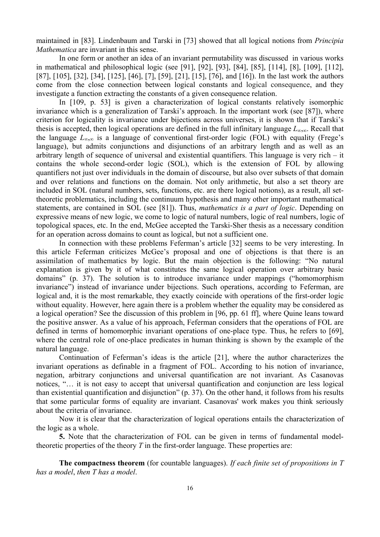maintained in [83]. Lindenbaum and Tarski in [73] showed that all logical notions from *Principia Mathematica* are invariant in this sense.

In one form or another an idea of an invariant permutability was discussed in various works in mathematical and philosophical logic (see [91], [92], [93], [84], [85], [114], [8], [109], [112], [87], [105], [32], [34], [125], [46], [7], [59], [21], [15], [76], and [16]). In the last work the authors come from the close connection between logical constants and logical consequence, and they investigate a function extracting the constants of a given consequence relation.

In [109, p. 53] is given a characterization of logical constants relatively isomorphic invariance which is a generalization of Tarski's approach. In the important work (see [87]), where criterion for logicality is invariance under bijections across universes, it is shown that if Tarski's thesis is accepted, then logical operations are defined in the full infinitary language *L*∞,∞. Recall that the language *L*∞,∞ is a language of conventional first-order logic (FOL) with equality (Frege's language), but admits conjunctions and disjunctions of an arbitrary length and as well as an arbitrary length of sequence of universal and existential quantifiers. This language is very rich – it contains the whole second-order logic (SOL), which is the extension of FOL by allowing quantifiers not just over individuals in the domain of discourse, but also over subsets of that domain and over relations and functions on the domain. Not only arithmetic, but also a set theory are included in SOL (natural numbers, sets, functions, etc. are there logical notions), as a result, all settheoretic problematics, including the continuum hypothesis and many other important mathematical statements, are contained in SOL (see [81]). Thus, *mathematics is a part of logic*. Depending on expressive means of new logic, we come to logic of natural numbers, logic of real numbers, logic of topological spaces, etc. In the end, McGee accepted the Tarski-Sher thesis as a necessary condition for an operation across domains to count as logical, but not a sufficient one.

In connection with these problems Feferman's article [32] seems to be very interesting. In this article Feferman criticizes McGee's proposal and one of objections is that there is an assimilation of mathematics by logic. But the main objection is the following: "No natural explanation is given by it of what constitutes the same logical operation over arbitrary basic domains" (p. 37). The solution is to introduce invariance under mappings ("homomorphism invariance") instead of invariance under bijections. Such operations, according to Feferman, are logical and, it is the most remarkable, they exactly coincide with operations of the first-order logic without equality. However, here again there is a problem whether the equality may be considered as a logical operation? See the discussion of this problem in [96, pp. 61 ff], where Quine leans toward the positive answer. As a value of his approach, Feferman considers that the operations of FOL are defined in terms of homomorphic invariant operations of one-place type. Thus, he refers to [69], where the central role of one-place predicates in human thinking is shown by the example of the natural language.

Continuation of Feferman's ideas is the article [21], where the author characterizes the invariant operations as definable in a fragment of FOL. According to his notion of invariance, negation, arbitrary conjunctions and universal quantification are not invariant. As Casanovas notices, "… it is not easy to accept that universal quantification and conjunction are less logical than existential quantification and disjunction" (p. 37). On the other hand, it follows from his results that some particular forms of equality are invariant. Casanovas' work makes you think seriously about the criteria of invariance.

Now it is clear that the characterization of logical operations entails the characterization of the logic as a whole.

**5.** Note that the characterization of FOL can be given in terms of fundamental modeltheoretic properties of the theory *T* in the first-order language. These properties are:

**The compactness theorem** (for countable languages). *If each finite set of propositions in T has a model*, *then T has a model*.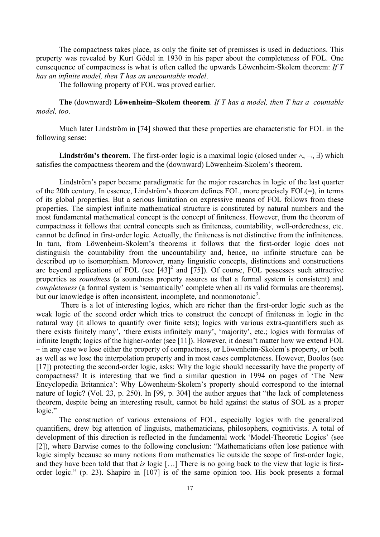The compactness takes place, as only the finite set of premisses is used in deductions. This property was revealed by Kurt Gödel in 1930 in his paper about the completeness of FOL. One consequence of compactness is what is often called the upwards Löwenheim-Skolem theorem: *If T has an infinite model, then T has an uncountable model*.

The following property of FOL was proved earlier.

**The** (downward) **Löwenheim–Skolem theorem**. *If T has a model, then T has a countable model, too*.

Much later Lindström in [74] showed that these properties are characteristic for FOL in the following sense:

**Lindström's theorem**. The first-order logic is a maximal logic (closed under ∧, ¬, ∃) which satisfies the compactness theorem and the (downward) Löwenheim-Skolem's theorem.

Lindström's paper became paradigmatic for the major researches in logic of the last quarter of the 20th century. In essence, Lindström's theorem defines FOL, more precisely FOL(=), in terms of its global properties. But a serious limitation on expressive means of FOL follows from these properties. The simplest infinite mathematical structure is constituted by natural numbers and the most fundamental mathematical concept is the concept of finiteness. However, from the theorem of compactness it follows that central concepts such as finiteness, countability, well-orderedness, etc. cannot be defined in first-order logic. Actually, the finiteness is not distinctive from the infiniteness. In turn, from Löwenheim-Skolem's theorems it follows that the first-order logic does not distinguish the countability from the uncountability and, hence, no infinite structure can be described up to isomorphism. Moreover, many linguistic concepts, distinctions and constructions are beyond applications of FOL (see  $[43]^2$  and  $[75]$ ). Of course, FOL possesses such attractive properties as *soundness* (a soundness property assures us that a formal system is consistent) and *completeness* (a formal system is 'semantically' complete when all its valid formulas are theorems), but our knowledge is often inconsistent, incomplete, and nonmonotonic<sup>3</sup>.

 There is a lot of interesting logics, which are richer than the first-order logic such as the weak logic of the second order which tries to construct the concept of finiteness in logic in the natural way (it allows to quantify over finite sets); logics with various extra-quantifiers such as there exists finitely many', 'there exists infinitely many', 'majority', etc.; logics with formulas of infinite length; logics of the higher-order (see [11]). However, it doesn't matter how we extend FOL – in any case we lose either the property of compactness, or Löwenheim-Skolem's property, or both as well as we lose the interpolation property and in most cases completeness. However, Boolos (see [17]) protecting the second-order logic, asks: Why the logic should necessarily have the property of compactness? It is interesting that we find a similar question in 1994 on pages of 'The New Encyclopedia Britannica': Why Löwenheim-Skolem's property should correspond to the internal nature of logic? (Vol. 23, p. 250). In [99, p. 304] the author argues that "the lack of completeness theorem, despite being an interesting result, cannot be held against the status of SOL as a proper logic."

The construction of various extensions of FOL, especially logics with the generalized quantifiers, drew big attention of linguists, mathematicians, philosophers, cognitivists. A total of development of this direction is reflected in the fundamental work 'Model-Theoretic Logics' (see [2]), where Barwise comes to the following conclusion: "Mathematicians often lose patience with logic simply because so many notions from mathematics lie outside the scope of first-order logic, and they have been told that that *is* logic […] There is no going back to the view that logic is firstorder logic." (p. 23). Shapiro in [107] is of the same opinion too. His book presents a formal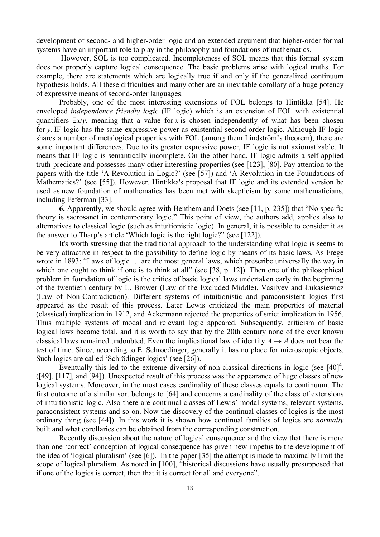development of second- and higher-order logic and an extended argument that higher-order formal systems have an important role to play in the philosophy and foundations of mathematics.

 However, SOL is too complicated. Incompleteness of SOL means that this formal system does not properly capture logical consequence. The basic problems arise with logical truths. For example, there are statements which are logically true if and only if the generalized continuum hypothesis holds. All these difficulties and many other are an inevitable corollary of a huge potency of expressive means of second-order languages.

Probably, one of the most interesting extensions of FOL belongs to Hintikka [54]. He enveloped *independence friendly logic* (IF logic) which is an extension of FOL with existential quantifiers  $\exists x/v$ , meaning that a value for *x* is chosen independently of what has been chosen for *y*. IF logic has the same expressive power as existential second-order logic. Although IF logic shares a number of metalogical properties with FOL (among them Lindström's theorem), there are some important differences. Due to its greater expressive power, IF logic is not axiomatizable. It means that IF logic is semantically incomplete. On the other hand, IF logic admits a self-applied truth-predicate and possesses many other interesting properties (see [123], [80]. Pay attention to the papers with the title 'A Revolution in Logic?' (see [57]) and 'A Revolution in the Foundations of Mathematics?' (see [55]). However, Hintikka's proposal that IF logic and its extended version be used as new foundation of mathematics has been met with skepticism by some mathematicians, including Feferman [33].

**6.** Apparently, we should agree with Benthem and Doets (see [11, p. 235]) that "No specific theory is sacrosanct in contemporary logic." This point of view, the authors add, applies also to alternatives to classical logic (such as intuitionistic logic). In general, it is possible to consider it as the answer to Tharp's article 'Which logic is the right logic?" (see [122]).

It's worth stressing that the traditional approach to the understanding what logic is seems to be very attractive in respect to the possibility to define logic by means of its basic laws. As Frege wrote in 1893: "Laws of logic … are the most general laws, which prescribe universally the way in which one ought to think if one is to think at all" (see [38, p. 12]). Then one of the philosophical problem in foundation of logic is the critics of basic logical laws undertaken early in the beginning of the twentieth century by L. Brower (Law of the Excluded Middle), Vasilyev and Łukasiewicz (Law of Non-Contradiction). Different systems of intuitionistic and paraconsistent logics first appeared as the result of this process. Later Lewis criticized the main properties of material (classical) implication in 1912, and Ackermann rejected the properties of strict implication in 1956. Thus multiple systems of modal and relevant logic appeared. Subsequently, criticism of basic logical laws became total, and it is worth to say that by the 20th century none of the ever known classical laws remained undoubted. Even the implicational law of identity  $A \rightarrow A$  does not bear the test of time. Since, according to E. Schroedinger, generally it has no place for microscopic objects. Such logics are called 'Schrödinger logics' (see [26]).

Eventually this led to the extreme diversity of non-classical directions in logic (see  $[40]^4$ , ([49], [117], and [94]). Unexpected result of this process was the appearance of huge classes of new logical systems. Moreover, in the most cases cardinality of these classes equals to continuum. The first outcome of a similar sort belongs to [64] and concerns a cardinality of the class of extensions of intuitionistic logic. Also there are continual classes of Lewis' modal systems, relevant systems, paraconsistent systems and so on. Now the discovery of the continual classes of logics is the most ordinary thing (see [44]). In this work it is shown how continual families of logics are *normally* built and what corollaries can be obtained from the corresponding construction.

Recently discussion about the nature of logical consequence and the view that there is more than one 'correct' conception of logical consequence has given new impetus to the development of the idea of 'logical pluralism' (see [6]). In the paper [35] the attempt is made to maximally limit the scope of logical pluralism. As noted in [100], "historical discussions have usually presupposed that if one of the logics is correct, then that it is correct for all and everyone".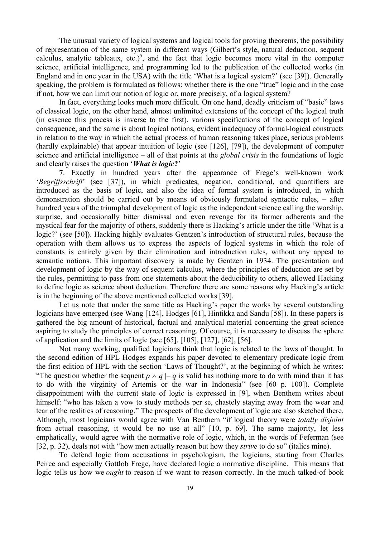The unusual variety of logical systems and logical tools for proving theorems, the possibility of representation of the same system in different ways (Gilbert's style, natural deduction, sequent calculus, analytic tableaux, etc.)<sup>5</sup>, and the fact that logic becomes more vital in the computer science, artificial intelligence, and programming led to the publication of the collected works (in England and in one year in the USA) with the title 'What is a logical system?' (see [39]). Generally speaking, the problem is formulated as follows: whether there is the one "true" logic and in the case if not, how we can limit our notion of logic or, more precisely, of a logical system?

In fact, everything looks much more difficult. On one hand, deadly criticism of "basic" laws of classical logic, on the other hand, almost unlimited extensions of the concept of the logical truth (in essence this process is inverse to the first), various specifications of the concept of logical consequence, and the same is about logical notions, evident inadequacy of formal-logical constructs in relation to the way in which the actual process of human reasoning takes place, serious problems (hardly explainable) that appear intuition of logic (see [126], [79]), the development of computer science and artificial intelligence – all of that points at the *global crisis* in the foundations of logic and clearly raises the question '*What is logic***?**'

**7**. Exactly in hundred years after the appearance of Frege's well-known work '*Begriffsschrift*' (see [37]), in which predicates, negation, conditional, and quantifiers are introduced as the basis of logic, and also the idea of formal system is introduced, in which demonstration should be carried out by means of obviously formulated syntactic rules, – after hundred years of the triumphal development of logic as the independent science calling the worship, surprise, and occasionally bitter dismissal and even revenge for its former adherents and the mystical fear for the majority of others, suddenly there is Hacking's article under the title 'What is a logic?' (see [50]). Hacking highly evaluates Gentzen's introduction of structural rules, because the operation with them allows us to express the aspects of logical systems in which the role of constants is entirely given by their elimination and introduction rules, without any appeal to semantic notions. This important discovery is made by Gentzen in 1934. The presentation and development of logic by the way of sequent calculus, where the principles of deduction are set by the rules, permitting to pass from one statements about the deducibility to others, allowed Hacking to define logic as science about deduction. Therefore there are some reasons why Hacking's article is in the beginning of the above mentioned collected works [39].

Let us note that under the same title as Hacking's paper the works by several outstanding logicians have emerged (see Wang [124], Hodges [61], Hintikka and Sandu [58]). In these papers is gathered the big amount of historical, factual and analytical material concerning the great science aspiring to study the principles of correct reasoning. Of course, it is necessary to discuss the sphere of application and the limits of logic (see [65], [105], [127], [62], [56].

Not many working, qualified logicians think that logic is related to the laws of thought. In the second edition of HPL Hodges expands his paper devoted to elementary predicate logic from the first edition of HPL with the section 'Laws of Thought?', at the beginning of which he writes: "The question whether the sequent  $p \wedge q \mid -q$  is valid has nothing more to do with mind than it has to do with the virginity of Artemis or the war in Indonesia" (see [60 p. 100]). Complete disappointment with the current state of logic is expressed in [9], when Benthem writes about himself: "who has taken a vow to study methods per se, chastely staying away from the wear and tear of the realities of reasoning." The prospects of the development of logic are also sketched there. Although, most logicians would agree with Van Benthem "if logical theory were *totally disjoint* from actual reasoning, it would be no use at all" [10, p. 69]. The same majority, let less emphatically, would agree with the normative role of logic, which, in the words of Feferman (see [32, p. 32), deals not with "how men actually reason but how they *strive* to do so" (italics mine).

To defend logic from accusations in psychologism, the logicians, starting from Charles Peirce and especially Gottlob Frege, have declared logic a normative discipline. This means that logic tells us how we *ought* to reason if we want to reason correctly. In the much talked-of book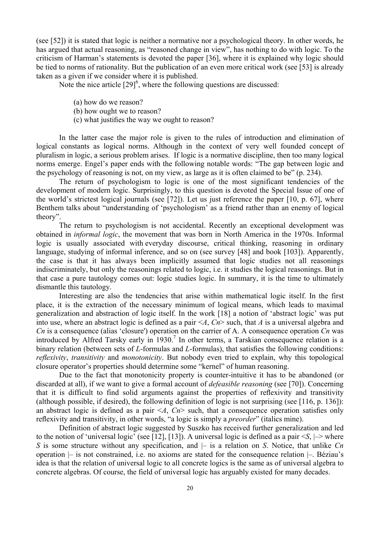(see [52]) it is stated that logic is neither a normative nor a psychological theory. In other words, he has argued that actual reasoning, as "reasoned change in view", has nothing to do with logic. To the criticism of Harman's statements is devoted the paper [36], where it is explained why logic should be tied to norms of rationality. But the publication of an even more critical work (see [53] is already taken as a given if we consider where it is published.

Note the nice article  $[29]^\text{6}$ , where the following questions are discussed:

- (a) how do we reason?
- (b) how ought we to reason?
- (c) what justifies the way we ought to reason?

In the latter case the major role is given to the rules of introduction and elimination of logical constants as logical norms. Although in the context of very well founded concept of pluralism in logic, a serious problem arises. If logic is a normative discipline, then too many logical norms emerge. Engel's paper ends with the following notable words: "The gap between logic and the psychology of reasoning is not, on my view, as large as it is often claimed to be" (p. 234).

The return of psychologism to logic is one of the most significant tendencies of the development of modern logic. Surprisingly, to this question is devoted the Special Issue of one of the world's strictest logical journals (see [72]). Let us just reference the paper [10, p. 67], where Benthem talks about "understanding of 'psychologism' as a friend rather than an enemy of logical theory".

The return to psychologism is not accidental. Recently an exceptional development was obtained in *informal logic*, the movement that was born in North America in the 1970s. Informal logic is usually associated with everyday discourse, critical thinking, reasoning in ordinary language, studying of informal inference, and so on (see survey [48] and book [103]). Apparently, the case is that it has always been implicitly assumed that logic studies not all reasonings indiscriminately, but only the reasonings related to logic, i.e. it studies the logical reasonings. But in that case a pure tautology comes out: logic studies logic. In summary, it is the time to ultimately dismantle this tautology.

Interesting are also the tendencies that arise within mathematical logic itself. In the first place, it is the extraction of the necessary minimum of logical means, which leads to maximal generalization and abstraction of logic itself. In the work [18] a notion of 'abstract logic' was put into use, where an abstract logic is defined as a pair <*A*, *Cn*> such, that *A* is a universal algebra and *Cn* is a consequence (alias 'closure') operation on the carrier of A. A consequence operation *Cn* was introduced by Alfred Tarsky early in  $1930$ .<sup>7</sup> In other terms, a Tarskian consequence relation is a binary relation (between sets of *L*-formulas and *L*-formulas), that satisfies the following conditions: *reflexivity*, *transitivity* and *monotonicity*. But nobody even tried to explain, why this topological closure operator's properties should determine some "kernel" of human reasoning.

Due to the fact that monotonicity property is counter-intuitive it has to be abandoned (or discarded at all), if we want to give a formal account of *defeasible reasoning* (see [70]). Concerning that it is difficult to find solid arguments against the properties of reflexivity and transitivity (although possible, if desired), the following definition of logic is not surprising (see [116, p. 136]): an abstract logic is defined as a pair  $\leq A$ ,  $Cn$  such, that a consequence operation satisfies only reflexivity and transitivity, in other words, "a logic is simply a *preorder*" (italics mine).

Definition of abstract logic suggested by Suszko has received further generalization and led to the notion of 'universal logic' (see [12], [13]). A universal logic is defined as a pair  $\leq S$ ,  $\Rightarrow$  where *S* is some structure without any specification, and  $\vert$  is a relation on *S*. Notice, that unlike *Cn* operation  $|$ – is not constrained, i.e. no axioms are stated for the consequence relation  $|$ –. Béziau's idea is that the relation of universal logic to all concrete logics is the same as of universal algebra to concrete algebras. Of course, the field of universal logic has arguably existed for many decades.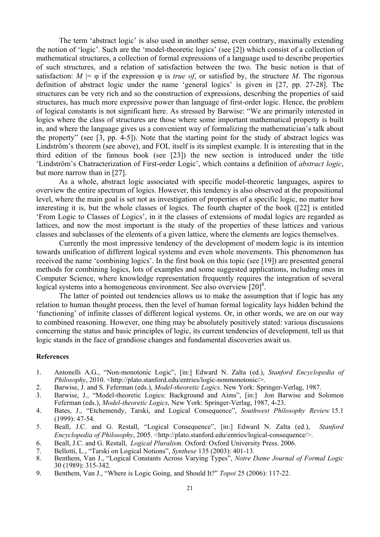The term 'abstract logic' is also used in another sense, even contrary, maximally extending the notion of 'logic'. Such are the 'model-theoretic logics' (see [2]) which consist of a collection of mathematical structures, a collection of formal expressions of a language used to describe properties of such structures, and a relation of satisfaction between the two. The basic notion is that of satisfaction:  $M \models \varphi$  if the expression  $\varphi$  is *true of*, or satisfied by, the structure *M*. The rigorous definition of abstract logic under the name 'general logics' is given in [27, pp. 27-28]. The structures can be very rich and so the construction of expressions, describing the properties of said structures, has much more expressive power than language of first-order logic. Hence, the problem of logical constants is not significant here. As stressed by Barwise: "We are primarily interested in logics where the class of structures are those where some important mathematical property is built in, and where the language gives us a convenient way of formalizing the mathematician's talk about the property" (see [3, pp. 4-5]). Note that the starting point for the study of abstract logics was Lindström's theorem (see above), and FOL itself is its simplest example. It is interesting that in the third edition of the famous book (see [23]) the new section is introduced under the title 'Lindström's Chatracterization of First-order Logic', which contains a definition of *abstract logic*, but more narrow than in [27].

As a whole, abstract logic associated with specific model-theoretic languages, aspires to overview the entire spectrum of logics. However, this tendency is also observed at the propositional level, where the main goal is set not as investigation of properties of a specific logic, no matter how interesting it is, but the whole classes of logics. The fourth chapter of the book ([22] is entitled 'From Logic to Classes of Logics', in it the classes of extensions of modal logics are regarded as lattices, and now the most important is the study of the properties of these lattices and various classes and subclasses of the elements of a given lattice, where the elements are logics themselves.

Currently the most impressive tendency of the development of modern logic is its intention towards unification of different logical systems and even whole movements. This phenomenon has received the name 'combining logics'. In the first book on this topic (see [19]) are presented general methods for combining logics, lots of examples and some suggested applications, including ones in Computer Science, where knowledge representation frequently requires the integration of several logical systems into a homogeneous environment. See also overview  $[20]^8$ .

The latter of pointed out tendencies allows us to make the assumption that if logic has any relation to human thought process, then the level of human formal logicality lays hidden behind the 'functioning' of infinite classes of different logical systems. Or, in other words, we are on our way to combined reasoning. However, one thing may be absolutely positively stated: various discussions concerning the status and basic principles of logic, its current tendencies of development, tell us that logic stands in the face of grandiose changes and fundamental discoveries await us.

## **References**

- 1. Antonelli A.G., "Non-monotonic Logic", [in:] Edward N. Zalta (ed.), *Stanford Encyclopedia of Philosophy*, 2010. <http://plato.stanford.edu/entries/logic-nonmonotonic/>.
- 2. Barwise, J. and S. Feferman (eds.), *Model-theoretic Logics*. New York: Springer-Verlag, 1987.
- 3. Barwise, J., "Model-theoretic Logics: Background and Aims", [in:] Jon Barwise and Solomon Feferman (eds.), *Model-theoretic Logics*, New York: Springer-Verlag, 1987, 4-23.
- 4. Bates, J., "Etchemendy, Tarski, and Logical Consequence", *Southwest Philosophy Review* 15.1 (1999): 47-54.
- 5. Beall, J.C. and G. Restall, "Logical Consequence", [in:] Edward N. Zalta (ed.), *Stanford Encyclopedia of Philosophy, 2005.* <http://plato.stanford.edu/entries/logical-consequence/>.
- 6. Beall, J.C. and G. Restall, *Logical Pluralism*. Oxford: Oxford University Press. 2006.
- 7. Bellotti, L., "Tarski on Logical Notions", *Synthese* 135 (2003): 401-13.
- 8. Benthem, Van J., "Logical Constants Across Varying Types", *Notre Dame Journal of Formal Logic* 30 (1989): 315-342.
- 9. Benthem, Van J., "Where is Logic Going, and Should It?" *Topoi* 25 (2006): 117-22.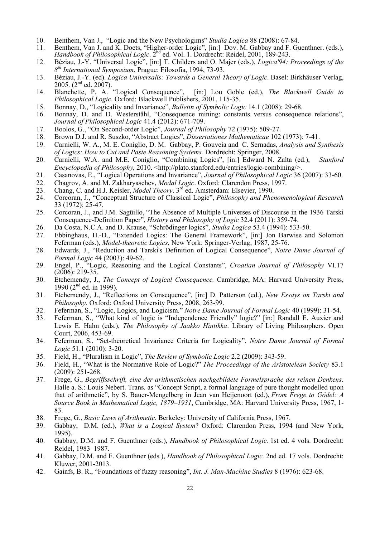- 10. Benthem, Van J., "Logic and the New Psychologims" *Studia Logica* 88 (2008): 67-84.
- Benthem, Van J. and K. Doets, "Higher-order Logic", [in:] Dov. M. Gabbay and F. Guenthner. (eds.), *Handbook of Philosophical Logic.*  $2^{nd}$  ed. Vol. 1. Dordrecht: Reidel, 2001, 189-243.
- 12. Béziau, J.-Y. "Universal Logic", [in:] T. Childers and O. Majer (eds.), *Logica'94: Proceedings of the 8th International Symposium*. Prague: Filosofia, 1994, 73-93.
- 13. Béziau, J.-Y. (ed). *Logica Universalis: Towards a General Theory of Logic*. Basel: Birkhäuser Verlag, 2005. (2nd ed. 2007).
- 14. Blanchette, P. A. "Logical Consequence", [in:] Lou Goble (ed.), *The Blackwell Guide to Philosophical Logic*. Oxford: Blackwell Publishers, 2001, 115-35.
- 15. Bonnay, D., "Logicality and Invariance", *Bulletin of Symbolic Logic* 14.1 (2008): 29-68.
- 16. Bonnay, D. and D. Westerståhl, "Consequence mining: constants versus consequence relations", *Journal of Philosophical Logic* 41.4 (2012): 671-709.
- 17. Boolos, G., "On Second-order Logic", *Journal of Philosophy* 72 (1975): 509-27.
- 18. Brown D.J. and R. Suszko, "Abstract Logics", *Dissertationes Mathematicae* 102 (1973): 7-41.
- 19. Carnielli, W. A., M. E. Coniglio, D. M. Gabbay, P. Gouveia and C. Sernadas, *Analysis and Synthesis of Logics: How to Cut and Paste Reasoning Systems.* Dordrecht: Springer, 2008.
- 20. Carnielli, W.A. and M.E. Coniglio, "Combining Logics", [in:] Edward N. Zalta (ed.), *Stanford Encyclopedia of Philosophy*, 2010. <http://plato.stanford.edu/entries/logic-combining/>.
- 21. Casanovas, E., "Logical Operations and Invariance", *Journal of Philosophical Logic* 36 (2007): 33-60.
- 22. Chagrov, A. and M. Zakharyaschev, *Modal Logic*. Oxford: Clarendon Press, 1997.
- 23. Chang, C. and H.J. Keisler, *Model Theory*. 3rd ed. Amsterdam: Elsevier, 1990.
- 24. Corcoran, J., "Conceptual Structure of Classical Logic", *Philosophy and Phenomenological Research* 33 (1972): 25-47.
- 25. Corcoran, J., and J.M. Sagüillo, "The Absence of Multiple Universes of Discourse in the 1936 Tarski Consequence-Definition Paper", *History and Philosophy of Logic* 32.4 (2011): 359-74.
- 26. Da Costa, N.C.A. and D. Krause, "Schrödinger logics", *Studia Logica* 53.4 (1994): 533-50.
- 27. Ebbinghaus, H.-D., "Extended Logics: The General Framework", [in:] Jon Barwise and Solomon Feferman (eds.), *Model-theoretic Logics*, New York: Springer-Verlag, 1987, 25-76.
- 28. Edwards, J., "Reduction and Tarski's Definition of Logical Consequence", *Notre Dame Journal of Formal Logic* 44 (2003): 49-62.
- 29. Engel, P., "Logic, Reasoning and the Logical Constants", *Croatian Journal of Philosophy* VI.17  $(2006): 219-35.$
- 30. Etchemendy, J., *The Concept of Logical Consequence.* Cambridge, MA: Harvard University Press, 1990 ( $2^{nd}$  ed. in 1999).
- 31. Etchemendy, J., "Reflections on Consequence", [in:] D. Patterson (ed.), *New Essays on Tarski and Philosophy.* Oxford: Oxford University Press, 2008, 263-99.
- 32. Feferman, S., "Logic, Logics, and Logicism." *Notre Dame Journal of Formal Logic* 40 (1999): 31-54.
- 33. Feferman, S., "What kind of logic is "Independence Friendly" logic?" [in:] Randall E. Auxier and Lewis E. Hahn (eds.), *The Philosophy of Jaakko Hintikka*. Library of Living Philosophers. Open Court, 2006, 453-69.
- 34. Feferman, S., "Set-theoretical Invariance Criteria for Logicality", *Notre Dame Journal of Formal Logic* 51.1 (2010): 3-20.
- 35. Field, H., "Pluralism in Logic", *The Review of Symbolic Logic* 2.2 (2009): 343-59.
- 36. Field, H., "What is the Normative Role of Logic?" *The Proceedings of the Aristotelean Society* 83.1 (2009): 251-268.
- 37. Frege, G., *Begriffsschrift, eine der arithmetischen nachgebildete Formelsprache des reinen Denkens*. Halle a. S.: Louis Nebert. Trans. as "Concept Script, a formal language of pure thought modelled upon that of arithmetic", by S. Bauer-Mengelberg in Jean van Heijenoort (ed.), *From Frege to Gödel: A Source Book in Mathematical Logic, 1879–1931*, Cambridge, MA: Harvard University Press, 1967, 1- 83.
- 38. Frege, G., *Basic Laws of Arithmetic*. Berkeley: University of California Press, 1967.
- 39. Gabbay, D.M. (ed.), *What is a Logical System*? Oxford: Clarendon Press, 1994 (and New York, 1995).
- 40. Gabbay, D.M. and F. Guenthner (eds*.*), *Handbook of Philosophical Logic.* 1st ed. 4 vols. Dordrecht: Reidel, 1983–1987.
- 41. Gabbay, D.M. and F. Guenthner (eds*.*), *Handbook of Philosophical Logic.* 2nd ed. 17 vols. Dordrecht: Kluwer, 2001-2013.
- 42. Gainfs, B. R., "Foundations of fuzzy reasoning", *Int. J. Man-Machine Studies* 8 (1976): 623-68.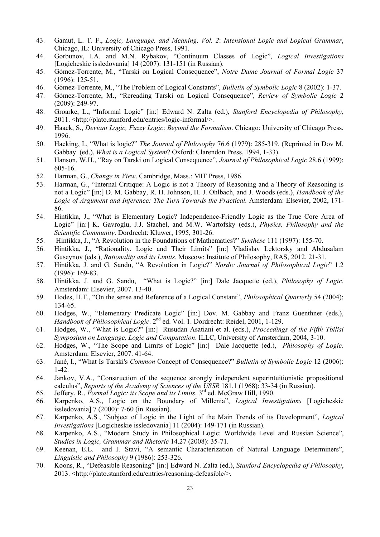- 43. Gamut, L. T. F., *Logic, Language, and Meaning, Vol. 2*: *Intensional Logic and Logical Grammar*, Chicago, IL: University of Chicago Press, 1991.
- 44. Gorbunov, I.A. and M.N. Rybakov, "Continuum Classes of Logic", *Logical Investigations* [Logicheskie issledovania] 14 (2007): 131-151 (in Russian).
- 45. Gómez-Torrente, M., "Tarski on Logical Consequence", *Notre Dame Journal of Formal Logic* 37 (1996): 125-51.
- 46. Gómez-Torrente, M., "The Problem of Logical Constants", *Bulletin of Symbolic Logic* 8 (2002): 1-37.
- 47. Gómez-Torrente, M., "Rereading Tarski on Logical Consequence", *Review of Symbolic Logic* 2 (2009): 249-97.
- 48. Groarke, L., "Informal Logic" [in:] Edward N. Zalta (ed.), *Stanford Encyclopedia of Philosophy*, 2011. <http://plato.stanford.edu/entries/logic-informal/>.
- 49. Haack, S., *Deviant Logic, Fuzzy Logic*: *Beyond the Formalism*. Chicago: University of Chicago Press, 1996.
- 50. Hacking, I., "What is logic?" *The Journal of Philosophy* 76.6 (1979): 285-319. (Reprinted in Dov M. Gabbay (ed.), *What is a Logical System*? Oxford: Clarendon Press, 1994, 1-33).
- 51. Hanson, W.H., "Ray on Tarski on Logical Consequence", *Journal of Philosophical Logic* 28.6 (1999): 605-16.
- 52. Harman, G., *Change in View*. Cambridge, Mass.: MIT Press, 1986.
- 53. Harman, G., "Internal Critique: A Logic is not a Theory of Reasoning and a Theory of Reasoning is not a Logic" [in:] D. M. Gabbay, R. H. Johnson, H. J. Ohlbach, and J. Woods (eds.), *Handbook of the Logic of Argument and Inference: The Turn Towards the Practical.* Amsterdam: Elsevier, 2002, 171- 86.
- 54. Hintikka, J., "What is Elementary Logic? Independence-Friendly Logic as the True Core Area of Logic" [in:] K. Gavroglu, J.J. Stachel, and M.W. Wartofsky (eds.), *Physics, Philosophy and the Scientific Community*. Dordrecht: Kluwer, 1995, 301-26.
- 55. Hintikka, J., "A Revolution in the Foundations of Mathematics?" *Synthese* 111 (1997): 155-70.
- 56. Hintikka, J., "Rationality, Logic and Their Limits" [in:] Vladislav Lektorsky and Abdusalam Guseynov (eds.), *Rationality and its Limits*. Moscow: Institute of Philosophy, RAS, 2012, 21-31.
- 57. Hintikka, J. and G. Sandu, "A Revolution in Logic?" *Nordic Journal of Philosophical Logic*" 1.2 (1996): 169-83.
- 58. Hintikka, J. and G. Sandu, "What is Logic?" [in:] Dale Jacquette (ed.), *Philosophy of Logic*. Amsterdam: Elsevier, 2007. 13-40.
- 59. Hodes, H.T., "On the sense and Reference of a Logical Constant", *Philosophical Quarterly* 54 (2004): 134-65.
- 60. Hodges, W., "Elementary Predicate Logic" [in:] Dov. M. Gabbay and Franz Guenthner (eds.), *Handbook of Philosophical Logic*. 2nd ed. Vol. 1. Dordrecht: Reidel, 2001, 1-129.
- 61. Hodges, W., "What is Logic?" [in:] Rusudan Asatiani et al. (eds.), *Proceedings of the Fifth Tbilisi Symposium on Language, Logic and Computation*. ILLC, University of Amsterdam, 2004, 3-10.
- 62. Hodges, W., "The Scope and Limits of Logic" [in:] Dale Jacquette (ed.), *Philosophy of Logic*. Amsterdam: Elsevier, 2007. 41-64.
- 63. Jané, I., "What Is Tarski's *Common* Concept of Consequence?" *Bulletin of Symbolic Logic* 12 (2006): 1-42.
- 64. Jankov, V.A., "Construction of the sequence strongly independent superintuitionistic propositional calculus", *Reports of the Academy of Sciences of the USSR* 181.1 (1968): 33-34 (in Russian).
- 65. Jeffery, R., *Formal Logic: its Scope and its Limits*. 3rd ed. McGraw Hill, 1990.
- 66. Karpenko, A.S*.*, Logic on the Boundary of Millenia", *Logical Investigations* [Logicheskie issledovania] 7 (2000): 7-60 (in Russian).
- 67. Karpenko, A.S*.*, "Subject of Logic in the Light of the Main Trends of its Development", *Logical Investigations* [Logicheskie issledovania] 11 (2004): 149-171 (in Russian).
- 68. Karpenko, A.S*.*, "Modern Study in Philosophical Logic: Worldwide Level and Russian Science", *Studies in Logic, Grammar and Rhetoric* 14.27 (2008): 35-71.
- 69. Keenan, E.L. and J. Stavi, "A semantic Characterization of Natural Language Determiners", *Linguistic and Philosophy* 9 (1986): 253-326.
- 70. Koons, R., "Defeasible Reasoning" [in:] Edward N. Zalta (ed.), *Stanford Encyclopedia of Philosophy*, 2013. <http://plato.stanford.edu/entries/reasoning-defeasible/>.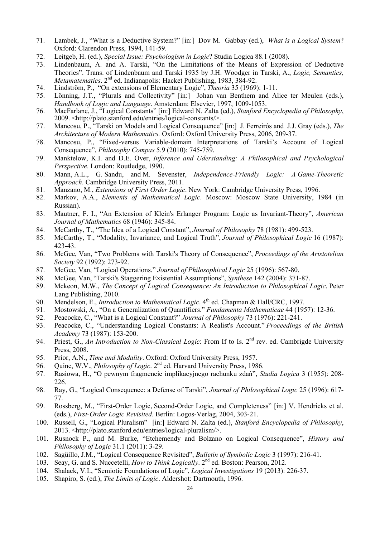- 71. Lambek, J., "What is a Deductive System?" [in:] Dov M. Gabbay (ed.), *What is a Logical System*? Oxford: Clarendon Press, 1994, 141-59.
- 72. Leitgeb, H. (ed*.*), *Special Issue: Psychologism in Logic*? Studia Logica 88.1 (2008).
- 73. Lindenbaum, A. and A. Tarski, "On the Limitations of the Means of Expression of Deductive Theories". Trans. of Lindenbaum and Tarski 1935 by J.H. Woodger in Tarski, A., *Logic, Semantics, Metamatematics*. 2<sup>nd</sup> ed. Indianapolis: Hacket Publishing, 1983, 384-92.
- 74. Lindström, P., "On extensions of Elementary Logic", *Theoria* 35 (1969): 1-11.
- 75. Lönning, J.T., "Plurals and Collectivity" [in:] Johan van Benthem and Alice ter Meulen (eds.), *Handbook of Logic and Language*. Amsterdam: Elsevier, 1997, 1009-1053.
- 76. MacFarlane, J., "Logical Constants" [in:] Edward N. Zalta (ed.), *Stanford Encyclopedia of Philosophy*, 2009. <http://plato.stanford.edu/entries/logical-constants/>.
- 77. Mancosu, P., "Tarski on Models and Logical Consequence" [in:] J. Ferreirós and J.J. Gray (eds.), *The Architecture of Modern Mathematics.* Oxford: Oxford University Press, 2006, 209-37.
- 78. Mancosu, P., "Fixed-versus Variable-domain Interpretations of Tarski's Account of Logical Consequence", *Philosophy Compas* 5.9 (2010): 745-759.
- 79. Manktelow, K.I. and D.E. Over, *Inference and Uderstanding: A Philosophical and Psychological Perspective*. London: Routledge, 1990.
- 80. Mann, A.L., G. Sandu, and M. Sevenster, *Independence-Friendly Logic: A Game-Theoretic Approach*. Cambridge University Press, 2011.
- 81. Manzano, M., *Extensions of First Order Logic*. New York: Cambridge University Press, 1996.
- 82. Markov, A.A., *Elements of Mathematical Logic*. Moscow: Moscow State University, 1984 (in Russian).
- 83. Mautner, F. I., "An Extension of Klein's Erlanger Program: Logic as Invariant-Theory", *American Journal of Mathematics* 68 (1946): 345-84.
- 84. McCarthy, T., "The Idea of a Logical Constant", *Journal of Philosophy* 78 (1981): 499-523.
- 85. McCarthy, T., "Modality, Invariance, and Logical Truth", *Journal of Philosophical Logic* 16 (1987): 423-43.
- 86. McGee, Van, "Two Problems with Tarski's Theory of Consequence", *Proceedings of the Aristotelian Society* 92 (1992): 273-92.
- 87. McGee, Van, "Logical Operations." *Journal of Philosophical Logic* 25 (1996): 567-80.
- 88. McGee, Van, "Tarski's Staggering Existential Assumptions", *Synthese* 142 (2004): 371-87.
- 89. Mckeon, M.W., *The Concept of Logical Consequence: An Introduction to Philosophical Logic*. Peter Lang Publishing, 2010.
- 90. Mendelson, E., *Introduction to Mathematical Logic*. 4<sup>th</sup> ed. Chapman & Hall/CRC, 1997.
- 91. Mostowski, A., "On a Generalization of Quantifiers." *Fundamenta Mathematicae* 44 (1957): 12-36.
- 92. Peacocke, C., "What is a Logical Constant?" *Journal of Philosophy* 73 (1976): 221-241.
- 93. Peacocke, C., "Understanding Logical Constants: A Realist's Account." *Proceedings of the British Academy* 73 (1987): 153-200.
- 94. Priest, G., *An Introduction to Non-Classical Logic*: From If to Is. 2<sup>nd</sup> rev. ed. Cambrigde University Press, 2008.
- 95. Prior, A.N., *Time and Modality*. Oxford: Oxford University Press, 1957.
- 96. Quine, W.V., *Philosophy of Logic*. 2nd ed. Harvard University Press, 1986.
- 97. Rasiowa, H., "O pewnym fragmencie implikacyjnego rachunku zdań", *Studia Logica* 3 (1955): 208- 226.
- 98. Ray, G., "Logical Consequence: a Defense of Tarski", *Journal of Philosophical Logic* 25 (1996): 617- 77.
- 99. Rossberg, M., "First-Order Logic, Second-Order Logic, and Completeness" [in:] V. Hendricks et al. (eds.), *First-Order Logic Revisited*. Berlin: Logos-Verlag, 2004, 303-21.
- 100. Russell, G., "Logical Pluralism" [in:] Edward N. Zalta (ed.), *Stanford Encyclopedia of Philosophy*, 2013. <http://plato.stanford.edu/entries/logical-pluralism/>.
- 101. Rusnock P., and M. Burke, "Etchemendy and Bolzano on Logical Consequence", *History and Philosophy of Logic* 31.1 (2011): 3-29.
- 102. Sagüillo, J.M., "Logical Consequence Revisited", *Bulletin of Symbolic Logic* 3 (1997): 216-41.
- 103. Seay, G. and S. Nuccetelli, *How to Think Logically*. 2nd ed. Boston: Pearson, 2012.
- 104. Shalack, V.I., "Semiotic Foundations of Logic", *Logical Investigations* 19 (2013): 226-37.
- 105. Shapiro, S. (ed.), *The Limits of Logic*. Aldershot: Dartmouth, 1996.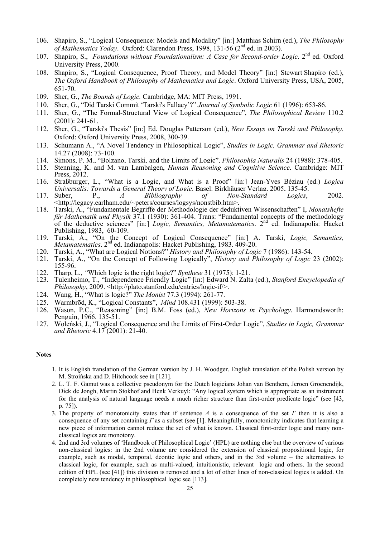- 106. Shapiro, S., "Logical Consequence: Models and Modality" [in:] Matthias Schirn (ed.), *The Philosophy of Mathematics Today*. Oxford: Clarendon Press, 1998, 131-56 (2nd ed. in 2003).
- 107. Shapiro, S., *Foundations without Foundationalism: A Case for Second-order Logic*. 2<sup>nd</sup> ed. Oxford University Press, 2000.
- 108. Shapiro, S., "Logical Consequence, Proof Theory, and Model Theory" [in:] Stewart Shapiro (ed.), *The Oxford Handbook of Philosophy of Mathematics and Logic*. Oxford University Press, USA, 2005, 651-70.
- 109. Sher, G., *The Bounds of Logic.* Cambridge, MA: MIT Press, 1991.
- 110. Sher, G., "Did Tarski Commit 'Tarski's Fallacy'?" *Journal of Symbolic Logic* 61 (1996): 653-86.
- 111. Sher, G., "The Formal-Structural View of Logical Consequence", *The Philosophical Review* 110.2 (2001): 241-61.
- 112. Sher, G., "Tarski's Thesis" [in:] Ed. Douglas Patterson (ed.), *New Essays on Tarski and Philosophy.* Oxford: Oxford University Press, 2008, 300-39.
- 113. Schumann A., "A Novel Tendency in Philosophical Logic", *Studies in Logic, Grammar and Rhetoric* 14.27 (2008): 73-100.
- 114. Simons, P. M., "Bolzano, Tarski, and the Limits of Logic", *Philosophia Naturalis* 24 (1988): 378-405.
- 115. Stenning, K. and M. van Lambalgen, *Human Reasoning and Cognitive Science*. Cambridge: MIT Press, 2012.
- 116. Straßburger, L., "What is a Logic, and What is a Proof" [in:] Jean-Yves Béziau (ed.) *Logica Universalis: Towards a General Theory of Logic*. Basel: Birkhäuser Verlag, 2005, 135-45.
- 117. Suber, P., *A Bibliography of Non-Standard Logics*, 2002. <http://legacy.earlham.edu/~peters/courses/logsys/nonstbib.htm>.
- 118. Tarski, A., "Fundamentale Begriffe der Methodologie der deduktiven Wissenschaften" I, *Monatshefte für Mathenatik und Physik* 37.1 (1930): 361-404. Trans: "Fundamental concepts of the methodology of the deductive sciences" [in:] *Logic, Semantics, Metamatematics*. 2nd ed. Indianapolis: Hacket Publishing, 1983, 60-109.
- 119. Tarski, A., "On the Concept of Logical Consequence" [in:] A. Tarski, *Logic, Semantics, Metamatematics*. 2<sup>nd</sup> ed. Indianapolis: Hacket Publishing, 1983. 409-20.
- 120. Tarski, A., "What are Logical Notions?" *History and Philosophy of Logic* 7 (1986): 143-54.
- 121. Tarski, A., "On the Concept of Following Logically", *History and Philosophy of Logic* 23 (2002): 155-96.
- 122. Tharp, L., *"*Which logic is the right logic?" *Synthese* 31 (1975): 1-21.
- 123. Tulenheimo, T., "Independence Friendly Logic" [in:] Edward N. Zalta (ed.), *Stanford Encyclopedia of Philosophy*, 2009. <http://plato.stanford.edu/entries/logic-if/>.
- 124. Wang, H., "What is logic?" *The Monist* 77.3 (1994): 261-77.
- 125. Warmbrōd, K., "Logical Constants", *Mind* 108.431 (1999): 503-38.
- 126. Wason, P.C., "Reasoning" [in:] B.M. Foss (ed.), *New Horizons in Psychology*. Harmondsworth: Penguin, 1966. 135-51.
- 127. Woleński, J., "Logical Consequence and the Limits of First-Order Logic", *Studies in Logic, Grammar and Rhetoric* 4.17 (2001): 21-40.

## **Notes**

- 1. It is English translation of the German version by J. H. Woodger. English translation of the Polish version by M. Stroińska and D. Hitchcock see in [121].
- 2. L. T. F. Gamut was a collective pseudonym for the Dutch logicians Johan van Benthem, Jeroen Groenendijk, Dick de Jongh, Martin Stokhof and Henk Verkuyl: "Any logical system which is appropriate as an instrument for the analysis of natural language needs a much richer structure than first-order predicate logic" (see [43, p. 75]).
- 3. The property of monotonicity states that if sentence *A* is a consequence of the set *Γ* then it is also a consequence of any set containing *Γ* as a subset (see [1]. Meaningfully, monotonicity indicates that learning a new piece of information cannot reduce the set of what is known. Classical first-order logic and many nonclassical logics are monotony.
- 4. 2nd and 3rd volumes of 'Handbook of Philosophical Logic' (HPL) are nothing else but the overview of various non-classical logics: in the 2nd volume are considered the extension of classical propositional logic, for example, such as modal, temporal, deontic logic and others, and in the 3rd volume – the alternatives to classical logic, for example, such as multi-valued, intuitionistic, relevant logic and others. In the second edition of HPL (see [41]) this division is removed and a lot of other lines of non-classical logics is added. On completely new tendency in philosophical logic see [113].